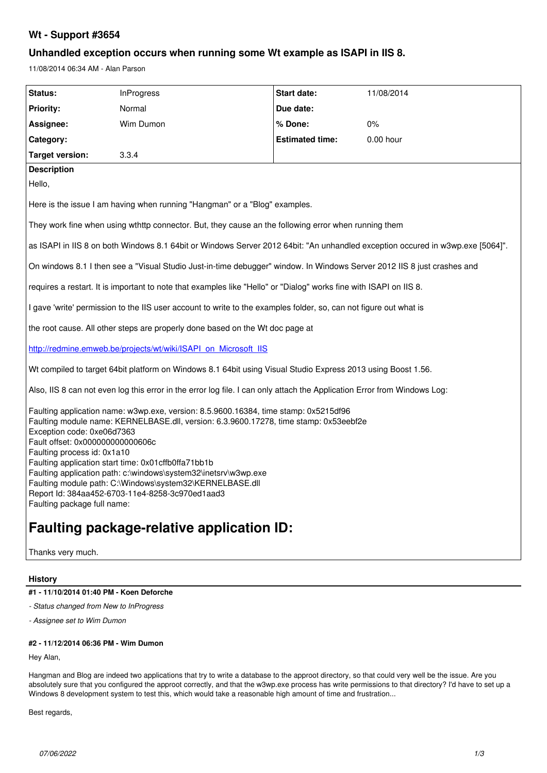# **Wt - Support #3654**

# **Unhandled exception occurs when running some Wt example as ISAPI in IIS 8.**

11/08/2014 06:34 AM - Alan Parson

| Status:                                                                                                                                                                                                                                                                                                                                                                                                                                                                                                                                                 | InProgress | <b>Start date:</b>     | 11/08/2014 |
|---------------------------------------------------------------------------------------------------------------------------------------------------------------------------------------------------------------------------------------------------------------------------------------------------------------------------------------------------------------------------------------------------------------------------------------------------------------------------------------------------------------------------------------------------------|------------|------------------------|------------|
| <b>Priority:</b>                                                                                                                                                                                                                                                                                                                                                                                                                                                                                                                                        | Normal     | Due date:              |            |
| Assignee:                                                                                                                                                                                                                                                                                                                                                                                                                                                                                                                                               | Wim Dumon  | % Done:                | 0%         |
| Category:                                                                                                                                                                                                                                                                                                                                                                                                                                                                                                                                               |            | <b>Estimated time:</b> | 0.00 hour  |
| Target version:                                                                                                                                                                                                                                                                                                                                                                                                                                                                                                                                         | 3.3.4      |                        |            |
| <b>Description</b>                                                                                                                                                                                                                                                                                                                                                                                                                                                                                                                                      |            |                        |            |
| Hello,                                                                                                                                                                                                                                                                                                                                                                                                                                                                                                                                                  |            |                        |            |
| Here is the issue I am having when running "Hangman" or a "Blog" examples.                                                                                                                                                                                                                                                                                                                                                                                                                                                                              |            |                        |            |
| They work fine when using wthttp connector. But, they cause an the following error when running them                                                                                                                                                                                                                                                                                                                                                                                                                                                    |            |                        |            |
| as ISAPI in IIS 8 on both Windows 8.1 64bit or Windows Server 2012 64bit: "An unhandled exception occured in w3wp.exe [5064]".                                                                                                                                                                                                                                                                                                                                                                                                                          |            |                        |            |
| On windows 8.1 I then see a "Visual Studio Just-in-time debugger" window. In Windows Server 2012 IIS 8 just crashes and                                                                                                                                                                                                                                                                                                                                                                                                                                 |            |                        |            |
| requires a restart. It is important to note that examples like "Hello" or "Dialog" works fine with ISAPI on IIS 8.                                                                                                                                                                                                                                                                                                                                                                                                                                      |            |                        |            |
| I gave 'write' permission to the IIS user account to write to the examples folder, so, can not figure out what is                                                                                                                                                                                                                                                                                                                                                                                                                                       |            |                        |            |
| the root cause. All other steps are properly done based on the Wt doc page at                                                                                                                                                                                                                                                                                                                                                                                                                                                                           |            |                        |            |
| http://redmine.emweb.be/projects/wt/wiki/ISAPI on Microsoft IIS                                                                                                                                                                                                                                                                                                                                                                                                                                                                                         |            |                        |            |
| Wt compiled to target 64bit platform on Windows 8.1 64bit using Visual Studio Express 2013 using Boost 1.56.                                                                                                                                                                                                                                                                                                                                                                                                                                            |            |                        |            |
| Also, IIS 8 can not even log this error in the error log file. I can only attach the Application Error from Windows Log:                                                                                                                                                                                                                                                                                                                                                                                                                                |            |                        |            |
| Faulting application name: w3wp.exe, version: 8.5.9600.16384, time stamp: 0x5215df96<br>Faulting module name: KERNELBASE.dll, version: 6.3.9600.17278, time stamp: 0x53eebf2e<br>Exception code: 0xe06d7363<br>Fault offset: 0x000000000000606c<br>Faulting process id: 0x1a10<br>Faulting application start time: 0x01 cffb0ffa71bb1b<br>Faulting application path: c:\windows\system32\inetsrv\w3wp.exe<br>Faulting module path: C:\Windows\system32\KERNELBASE.dll<br>Report Id: 384aa452-6703-11e4-8258-3c970ed1aad3<br>Faulting package full name: |            |                        |            |
| <b>Faulting package-relative application ID:</b>                                                                                                                                                                                                                                                                                                                                                                                                                                                                                                        |            |                        |            |

Thanks very much.

## **History**

## **#1 - 11/10/2014 01:40 PM - Koen Deforche**

*- Status changed from New to InProgress*

*- Assignee set to Wim Dumon*

## **#2 - 11/12/2014 06:36 PM - Wim Dumon**

Hey Alan,

Hangman and Blog are indeed two applications that try to write a database to the approot directory, so that could very well be the issue. Are you absolutely sure that you configured the approot correctly, and that the w3wp.exe process has write permissions to that directory? I'd have to set up a Windows 8 development system to test this, which would take a reasonable high amount of time and frustration...

Best regards,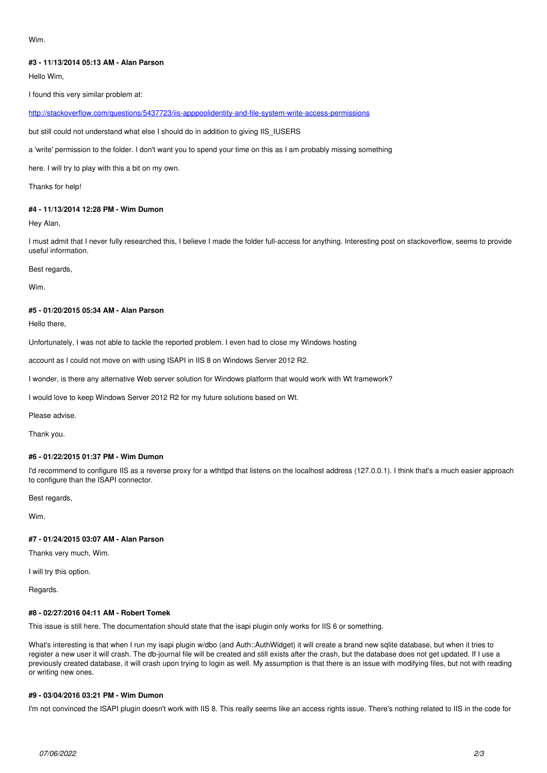#### Wim.

### **#3 - 11/13/2014 05:13 AM - Alan Parson**

Hello Wim,

I found this very similar problem at:

<http://stackoverflow.com/questions/5437723/iis-apppoolidentity-and-file-system-write-access-permissions>

but still could not understand what else I should do in addition to giving IIS\_IUSERS

a 'write' permission to the folder. I don't want you to spend your time on this as I am probably missing something

here. I will try to play with this a bit on my own.

Thanks for help!

### **#4 - 11/13/2014 12:28 PM - Wim Dumon**

Hey Alan,

I must admit that I never fully researched this, I believe I made the folder full-access for anything. Interesting post on stackoverflow, seems to provide useful information.

Best regards,

Wim.

#### **#5 - 01/20/2015 05:34 AM - Alan Parson**

Hello there,

Unfortunately, I was not able to tackle the reported problem. I even had to close my Windows hosting

account as I could not move on with using ISAPI in IIS 8 on Windows Server 2012 R2.

I wonder, is there any alternative Web server solution for Windows platform that would work with Wt framework?

I would love to keep Windows Server 2012 R2 for my future solutions based on Wt.

Please advise.

Thank you.

### **#6 - 01/22/2015 01:37 PM - Wim Dumon**

I'd recommend to configure IIS as a reverse proxy for a wthttpd that listens on the localhost address (127.0.0.1). I think that's a much easier approach to configure than the ISAPI connector.

Best regards,

Wim.

# **#7 - 01/24/2015 03:07 AM - Alan Parson**

Thanks very much, Wim.

I will try this option.

Regards.

#### **#8 - 02/27/2016 04:11 AM - Robert Tomek**

This issue is still here. The documentation should state that the isapi plugin only works for IIS 6 or something.

What's interesting is that when I run my isapi plugin w/dbo (and Auth::AuthWidget) it will create a brand new sqlite database, but when it tries to register a new user it will crash. The db-journal file will be created and still exists after the crash, but the database does not get updated. If I use a previously created database, it will crash upon trying to login as well. My assumption is that there is an issue with modifying files, but not with reading or writing new ones.

#### **#9 - 03/04/2016 03:21 PM - Wim Dumon**

I'm not convinced the ISAPI plugin doesn't work with IIS 8. This really seems like an access rights issue. There's nothing related to IIS in the code for